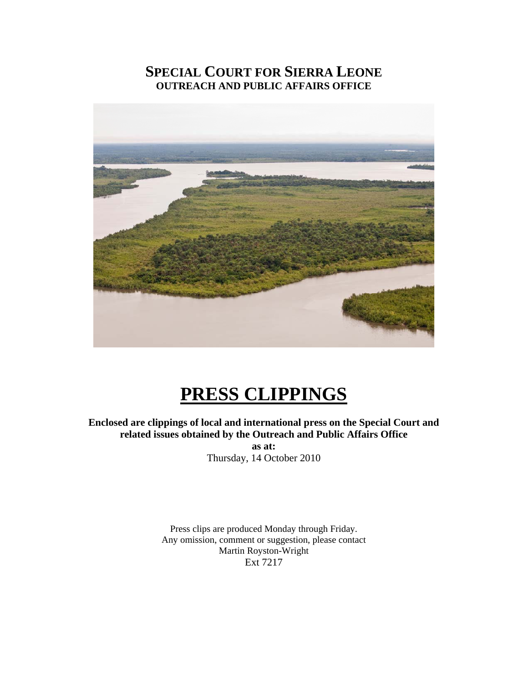# **SPECIAL COURT FOR SIERRA LEONE OUTREACH AND PUBLIC AFFAIRS OFFICE**



# **PRESS CLIPPINGS**

**Enclosed are clippings of local and international press on the Special Court and related issues obtained by the Outreach and Public Affairs Office** 

**as at:**  Thursday, 14 October 2010

Press clips are produced Monday through Friday. Any omission, comment or suggestion, please contact Martin Royston-Wright Ext 7217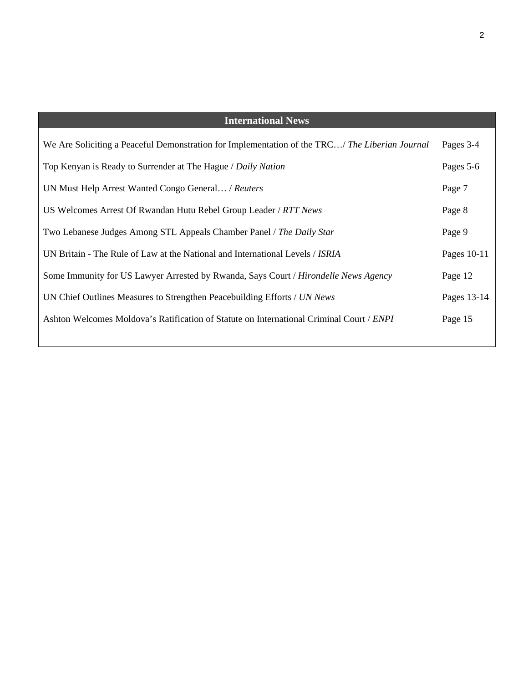| <b>International News</b>                                                                      |             |
|------------------------------------------------------------------------------------------------|-------------|
| We Are Soliciting a Peaceful Demonstration for Implementation of the TRC/ The Liberian Journal | Pages 3-4   |
| Top Kenyan is Ready to Surrender at The Hague / Daily Nation                                   | Pages 5-6   |
| UN Must Help Arrest Wanted Congo General / Reuters                                             | Page 7      |
| US Welcomes Arrest Of Rwandan Hutu Rebel Group Leader / RTT News                               | Page 8      |
| Two Lebanese Judges Among STL Appeals Chamber Panel / The Daily Star                           | Page 9      |
| UN Britain - The Rule of Law at the National and International Levels / <i>ISRIA</i>           | Pages 10-11 |
| Some Immunity for US Lawyer Arrested by Rwanda, Says Court / Hirondelle News Agency            | Page 12     |
| UN Chief Outlines Measures to Strengthen Peacebuilding Efforts / UN News                       | Pages 13-14 |
| Ashton Welcomes Moldova's Ratification of Statute on International Criminal Court / ENPI       | Page 15     |
|                                                                                                |             |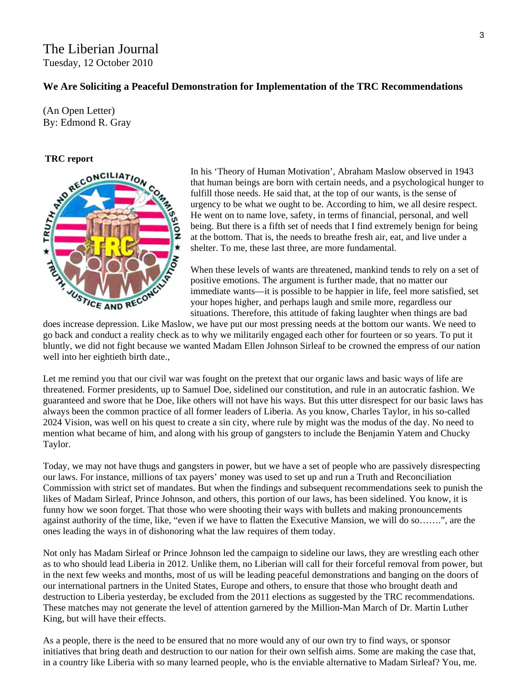#### The Liberian Journal Tuesday, 12 October 2010

#### **We Are Soliciting a Peaceful Demonstration for Implementation of the TRC Recommendations**

(An Open Letter) By: Edmond R. Gray



In his 'Theory of Human Motivation', Abraham Maslow observed in 1943 that human beings are born with certain needs, and a psychological hunger t o fulfill those needs. He said that, at the top of our wants, is the sense of urgency to be what we ought to be. According to him, we all desire respect. He went on to name love, safety, in terms of financial, personal, and well being. But there is a fifth set of needs that I find extremely benign for being at the bottom. That is, the needs to breathe fresh air, eat, and live under a shelter. To me, these last three, are more fundamental.

When these levels of wants are threatened, mankind tends to rely on a set of positive emotions. The argument is further made, that no matter our immediate wants—it is possible to be happier in life, feel more satisfied, set your hopes higher, and perhaps laugh and smile more, regardless our situations. Therefore, this attitude of faking laughter when things are bad

does increase depression. Like Maslow, we have put our most pressing needs at the bottom our wants. We need to go back and conduct a reality check as to why we militarily engaged each other for fourteen or so years. To put it bluntly, we did not fight because we wanted Madam Ellen Johnson Sirleaf to be crowned the empress of our nation well into her eightieth birth date.,

Let me remind you that our civil war was fought on the pretext that our organic laws and basic ways of life are threatened. Former presidents, up to Samuel Doe, sidelined our constitution, and rule in an autocratic fashion. We guaranteed and swore that he Doe, like others will not have his ways. But this utter disrespect for our basic laws has always been the common practice of all former leaders of Liberia. As you know, Charles Taylor, in his so-called 2024 Vision, was well on his quest to create a sin city, where rule by might was the modus of the day. No need to mention what became of him, and along with his group of gangsters to include the Benjamin Yatem and Chucky Taylor.

Today, we may not have thugs and gangsters in power, but we have a set of people who are passively disrespecting our laws. For instance, millions of tax payers' money was used to set up and run a Truth and Reconciliation Commission with strict set of mandates. But when the findings and subsequent recommendations seek to punish the likes of Madam Sirleaf, Prince Johnson, and others, this portion of our laws, has been sidelined. You know, it is funny how we soon forget. That those who were shooting their ways with bullets and making pronouncements against authority of the time, like, "even if we have to flatten the Executive Mansion, we will do so…….", are the ones leading the ways in of dishonoring what the law requires of them today.

Not only has Madam Sirleaf or Prince Johnson led the campaign to sideline our laws, they are wrestling each other as to who should lead Liberia in 2012. Unlike them, no Liberian will call for their forceful removal from power, but in the next few weeks and months, most of us will be leading peaceful demonstrations and banging on the doors of our international partners in the United States, Europe and others, to ensure that those who brought death and destruction to Liberia yesterday, be excluded from the 2011 elections as suggested by the TRC recommendations. These matches may not generate the level of attention garnered by the Million-Man March of Dr. Martin Luther King, but will have their effects.

As a people, there is the need to be ensured that no more would any of our own try to find ways, or sponsor initiatives that bring death and destruction to our nation for their own selfish aims. Some are making the case that, in a country like Liberia with so many learned people, who is the enviable alternative to Madam Sirleaf? You, me.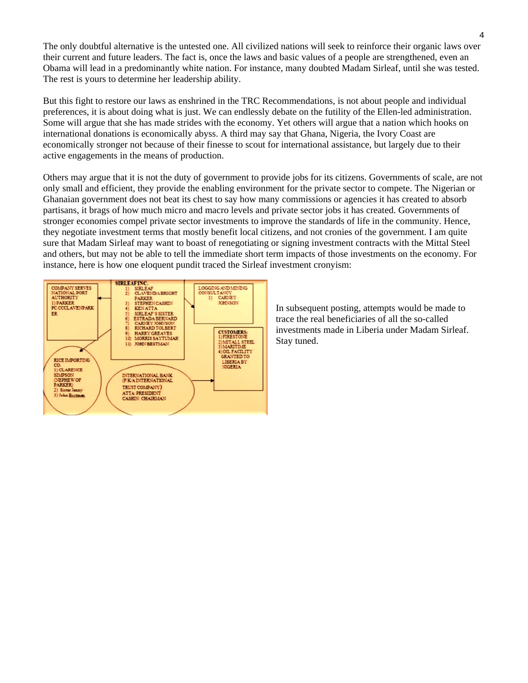The only doubtful alternative is the untested one. All civilized nations will seek to reinforce their organic laws over their current and future leaders. The fact is, once the laws and basic values of a people are strengthened, even an Obama will lead in a predominantly white nation. For instance, many doubted Madam Sirleaf, until she was tested. The rest is yours to determine her leadership ability.

But this fight to restore our laws as enshrined in the TRC Recommendations, is not about people and individual preferences, it is about doing what is just. We can endlessly debate on the futility of the Ellen-led administration. Some will argue that she has made strides with the economy. Yet others will argue that a nation which hooks on international donations is economically abyss. A third may say that Ghana, Nigeria, the Ivory Coast are economically stronger not because of their finesse to scout for international assistance, but largely due to their active engagements in the means of production.

Others may argue that it is not the duty of government to provide jobs for its citizens. Governments of scale, are not only small and efficient, they provide the enabling environment for the private sector to compete. The Nigerian or Ghanaian government does not beat its chest to say how many commissions or agencies it has created to absorb partisans, it brags of how much micro and macro levels and private sector jobs it has created. Governments of stronger economies compel private sector investments to improve the standards of life in the community. Hence, they negotiate investment terms that mostly benefit local citizens, and not cronies of the government. I am quite sure that Madam Sirleaf may want to boast of renegotiating or signing investment contracts with the Mittal Steel and others, but may not be able to tell the immediate short term impacts of those investments on the economy. For instance, here is how one eloquent pundit traced the Sirleaf investment cronyism:



In subsequent posting, attempts would be made to trace the real beneficiaries of all the so-called investments made in Liberia under Madam Sirleaf. Stay tuned.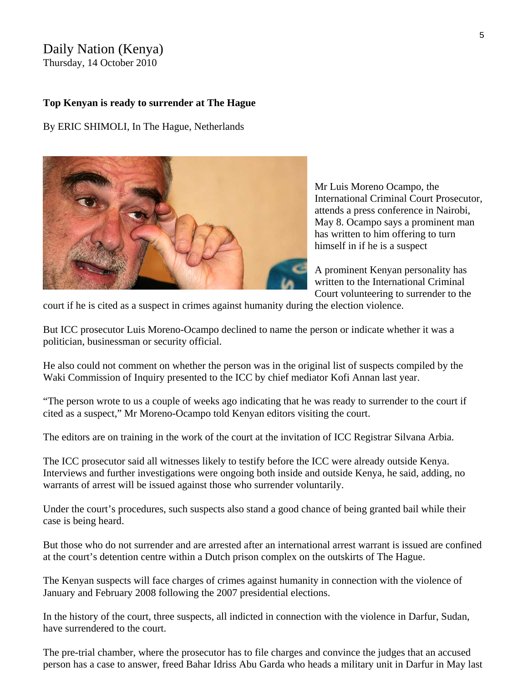#### Daily Nation (Kenya) Thursday, 14 October 2010

#### **Top Kenyan is ready to surrender at The Hague**

By ERIC SHIMOLI, In The Hague, Netherlands



Mr Luis Moreno Ocampo, the International Criminal Court Prosecutor, attends a press conference in Nairobi, May 8. Ocampo says a prominent man has written to him offering to turn himself in if he is a suspect

A prominent Kenyan personality has written to the International Criminal Court volunteering to surrender to the

court if he is cited as a suspect in crimes against humanity during the election violence.

But ICC prosecutor Luis Moreno-Ocampo declined to name the person or indicate whether it was a politician, businessman or security official.

He also could not comment on whether the person was in the [original list of suspects](http://www.nation.co.ke/News/-/1056/625484/-/ukynd3/-/index.html) compiled by the [Waki Commission of Inquiry](http://www.nation.co.ke/blob/view/-/621912/data/46260/-/ht0wju/-/CIPEV+Report.pdf) presented to the ICC by chief mediator Kofi Annan last year.

"The person wrote to us a couple of weeks ago indicating that he was ready to surrender to the court if cited as a suspect," Mr Moreno-Ocampo told Kenyan editors visiting the court.

The editors are on training in the work of the court at the invitation of ICC Registrar Silvana Arbia.

The ICC prosecutor said all witnesses likely to testify before the ICC were already outside Kenya. Interviews and further investigations were ongoing both inside and outside Kenya, he said, adding, no warrants of arrest will be issued against those who surrender voluntarily.

Under the court's procedures, such suspects also stand a good chance of being granted bail while their case is being heard.

But those who do not surrender and are arrested after an international arrest warrant is issued are confined at the court's detention centre within a Dutch prison complex on the outskirts of The Hague.

The Kenyan suspects will face charges of crimes against humanity in connection with the violence of January and February 2008 following the 2007 presidential elections.

In the history of the court, three suspects, all indicted in connection with the violence in Darfur, Sudan, have surrendered to the court.

The pre-trial chamber, where the prosecutor has to file charges and convince the judges that an accused person has a case to answer, freed Bahar Idriss Abu Garda who heads a military unit in Darfur in May last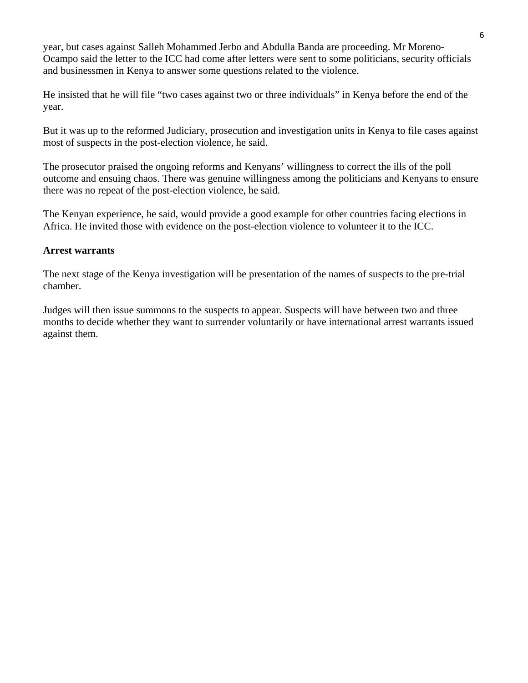year, but cases against Salleh Mohammed Jerbo and Abdulla Banda are proceeding. Mr Moreno-Ocampo said the letter to the ICC had come after letters were sent to some politicians, security officials and businessmen in Kenya to answer some questions related to the violence.

He insisted that he will file "two cases against two or three individuals" in Kenya before the end of the year.

But it was up to the reformed Judiciary, prosecution and investigation units in Kenya to file cases against most of suspects in the post-election violence, he said.

The prosecutor praised the ongoing reforms and Kenyans' willingness to correct the ills of the poll outcome and ensuing chaos. There was genuine willingness among the politicians and Kenyans to ensure there was no repeat of the post-election violence, he said.

The Kenyan experience, he said, would provide a good example for other countries facing elections in Africa. He invited those with evidence on the post-election violence to volunteer it to the ICC.

#### **Arrest warrants**

The next stage of the Kenya investigation will be presentation of the names of suspects to the pre-trial chamber.

Judges will then issue summons to the suspects to appear. Suspects will have between two and three months to decide whether they want to surrender voluntarily or have international arrest warrants issued against them.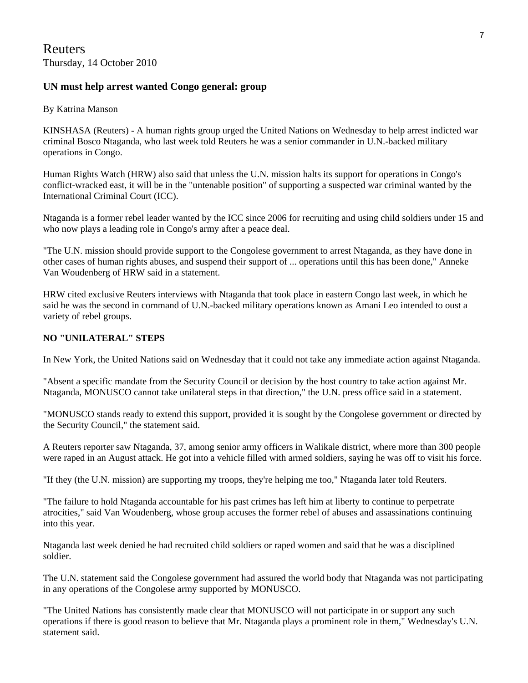#### **UN must help arrest wanted Congo general: group**

#### By Katrina Manson

KINSHASA (Reuters) - A human rights group urged the United Nations on Wednesday to help arrest indicted war criminal Bosco Ntaganda, who last week told Reuters he was a senior commander in U.N.-backed military operations in Congo.

Human Rights Watch (HRW) also said that unless the U.N. mission halts its support for operations in Congo's conflict-wracked east, it will be in the "untenable position" of supporting a suspected war criminal wanted by the International Criminal Court (ICC).

Ntaganda is a former rebel leader wanted by the ICC since 2006 for recruiting and using child soldiers under 15 and who now plays a leading role in Congo's army after a peace deal.

"The U.N. mission should provide support to the Congolese government to arrest Ntaganda, as they have done in other cases of human rights abuses, and suspend their support of ... operations until this has been done," Anneke Van Woudenberg of HRW said in a statement.

HRW cited exclusive Reuters interviews with Ntaganda that took place in eastern Congo last week, in which he said he was the second in command of U.N.-backed military operations known as Amani Leo intended to oust a variety of rebel groups.

#### **NO "UNILATERAL" STEPS**

In New York, the United Nations said on Wednesday that it could not take any immediate action against Ntaganda.

"Absent a specific mandate from the Security Council or decision by the host country to take action against Mr. Ntaganda, MONUSCO cannot take unilateral steps in that direction," the U.N. press office said in a statement.

"MONUSCO stands ready to extend this support, provided it is sought by the Congolese government or directed by the Security Council," the statement said.

A Reuters reporter saw Ntaganda, 37, among senior army officers in Walikale district, where more than 300 people were raped in an August attack. He got into a vehicle filled with armed soldiers, saying he was off to visit his force.

"If they (the U.N. mission) are supporting my troops, they're helping me too," Ntaganda later told Reuters.

"The failure to hold Ntaganda accountable for his past crimes has left him at liberty to continue to perpetrate atrocities," said Van Woudenberg, whose group accuses the former rebel of abuses and assassinations continuing into this year.

Ntaganda last week denied he had recruited child soldiers or raped women and said that he was a disciplined soldier.

The U.N. statement said the Congolese government had assured the world body that Ntaganda was not participating in any operations of the Congolese army supported by MONUSCO.

"The United Nations has consistently made clear that MONUSCO will not participate in or support any such operations if there is good reason to believe that Mr. Ntaganda plays a prominent role in them," Wednesday's U.N. statement said.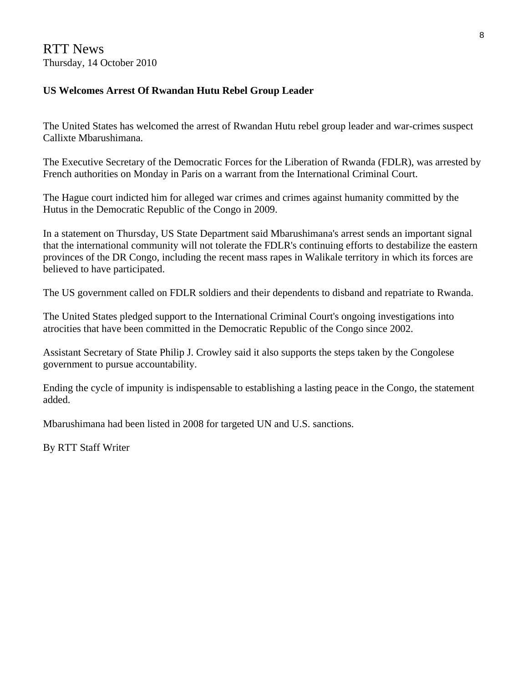RTT News Thursday, 14 October 2010

#### **US Welcomes Arrest Of Rwandan Hutu Rebel Group Leader**

The United States has welcomed the arrest of Rwandan Hutu rebel group leader and war-crimes suspect Callixte Mbarushimana.

The Executive Secretary of the Democratic Forces for the Liberation of Rwanda (FDLR), was arrested by French authorities on Monday in Paris on a warrant from the International Criminal Court.

The Hague court indicted him for alleged war crimes and crimes against humanity committed by the Hutus in the Democratic Republic of the Congo in 2009.

In a statement on Thursday, US State Department said Mbarushimana's arrest sends an important signal that the international community will not tolerate the FDLR's continuing efforts to destabilize the eastern provinces of the DR Congo, including the recent mass rapes in Walikale territory in which its forces are believed to have participated.

The US government called on FDLR soldiers and their dependents to disband and repatriate to Rwanda.

The United States pledged support to the International Criminal Court's ongoing investigations into atrocities that have been committed in the Democratic Republic of the Congo since 2002.

Assistant Secretary of State Philip J. Crowley said it also supports the steps taken by the Congolese government to pursue accountability.

Ending the cycle of impunity is indispensable to establishing a lasting peace in the Congo, the statement added.

Mbarushimana had been listed in 2008 for targeted UN and U.S. sanctions.

By RTT Staff Writer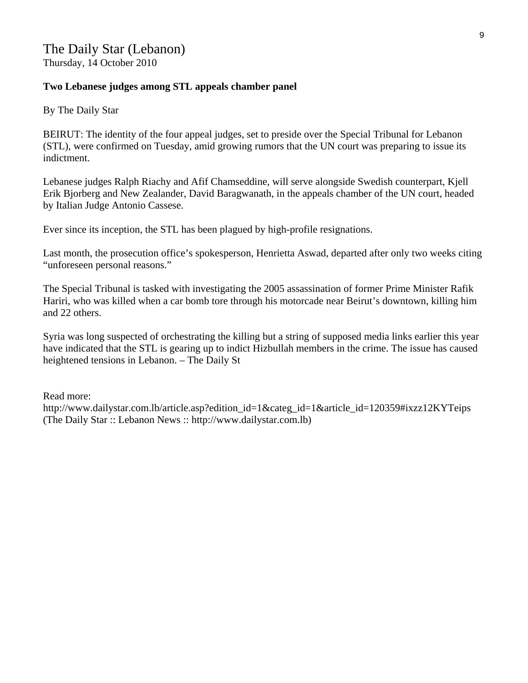#### **Two Lebanese judges among STL appeals chamber panel**

By The Daily Star

BEIRUT: The identity of the four appeal judges, set to preside over the Special Tribunal for Lebanon (STL), were confirmed on Tuesday, amid growing rumors that the UN court was preparing to issue its indictment.

Lebanese judges Ralph Riachy and Afif Chamseddine, will serve alongside Swedish counterpart, Kjell Erik Bjorberg and New Zealander, David Baragwanath, in the appeals chamber of the UN court, headed by Italian Judge Antonio Cassese.

Ever since its inception, the STL has been plagued by high-profile resignations.

Last month, the prosecution office's spokesperson, Henrietta Aswad, departed after only two weeks citing "unforeseen personal reasons."

The Special Tribunal is tasked with investigating the 2005 assassination of former Prime Minister Rafik Hariri, who was killed when a car bomb tore through his motorcade near Beirut's downtown, killing him and 22 others.

Syria was long suspected of orchestrating the killing but a string of supposed media links earlier this year have indicated that the STL is gearing up to indict Hizbullah members in the crime. The issue has caused heightened tensions in Lebanon. – The Daily St

Read more:

http://www.dailystar.com.lb/article.asp?edition\_id=1&categ\_id=1&article\_id=120359#ixzz12KYTeips (The Daily Star :: Lebanon News :: http://www.dailystar.com.lb)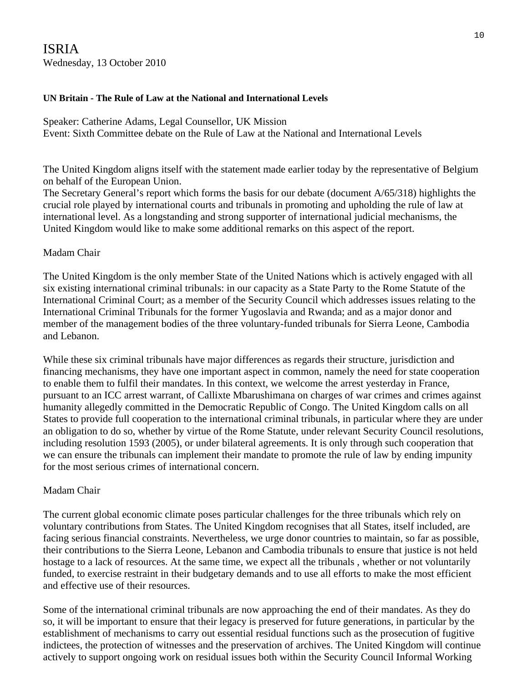### ISRIA Wednesday, 13 October 2010

#### **UN Britain - The Rule of Law at the National and International Levels**

Speaker: Catherine Adams, Legal Counsellor, UK Mission Event: Sixth Committee debate on the Rule of Law at the National and International Levels

The United Kingdom aligns itself with the statement made earlier today by the representative of Belgium on behalf of the European Union.

The Secretary General's report which forms the basis for our debate (document A/65/318) highlights the crucial role played by international courts and tribunals in promoting and upholding the rule of law at international level. As a longstanding and strong supporter of international judicial mechanisms, the United Kingdom would like to make some additional remarks on this aspect of the report.

#### Madam Chair

The United Kingdom is the only member State of the United Nations which is actively engaged with all six existing international criminal tribunals: in our capacity as a State Party to the Rome Statute of the International Criminal Court; as a member of the Security Council which addresses issues relating to the International Criminal Tribunals for the former Yugoslavia and Rwanda; and as a major donor and member of the management bodies of the three voluntary-funded tribunals for Sierra Leone, Cambodia and Lebanon.

While these six criminal tribunals have major differences as regards their structure, jurisdiction and financing mechanisms, they have one important aspect in common, namely the need for state cooperation to enable them to fulfil their mandates. In this context, we welcome the arrest yesterday in France, pursuant to an ICC arrest warrant, of Callixte Mbarushimana on charges of war crimes and crimes against humanity allegedly committed in the Democratic Republic of Congo. The United Kingdom calls on all States to provide full cooperation to the international criminal tribunals, in particular where they are under an obligation to do so, whether by virtue of the Rome Statute, under relevant Security Council resolutions, including resolution 1593 (2005), or under bilateral agreements. It is only through such cooperation that we can ensure the tribunals can implement their mandate to promote the rule of law by ending impunity for the most serious crimes of international concern.

#### Madam Chair

The current global economic climate poses particular challenges for the three tribunals which rely on voluntary contributions from States. The United Kingdom recognises that all States, itself included, are facing serious financial constraints. Nevertheless, we urge donor countries to maintain, so far as possible, their contributions to the Sierra Leone, Lebanon and Cambodia tribunals to ensure that justice is not held hostage to a lack of resources. At the same time, we expect all the tribunals , whether or not voluntarily funded, to exercise restraint in their budgetary demands and to use all efforts to make the most efficient and effective use of their resources.

Some of the international criminal tribunals are now approaching the end of their mandates. As they do so, it will be important to ensure that their legacy is preserved for future generations, in particular by the establishment of mechanisms to carry out essential residual functions such as the prosecution of fugitive indictees, the protection of witnesses and the preservation of archives. The United Kingdom will continue actively to support ongoing work on residual issues both within the Security Council Informal Working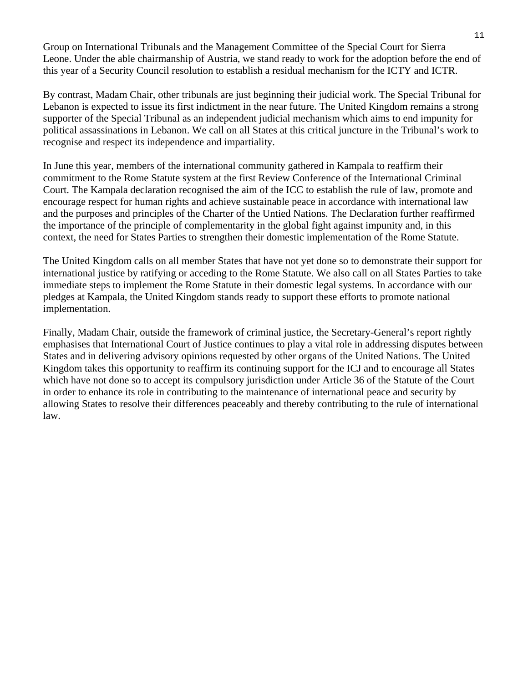Group on International Tribunals and the Management Committee of the Special Court for Sierra Leone. Under the able chairmanship of Austria, we stand ready to work for the adoption before the end of this year of a Security Council resolution to establish a residual mechanism for the ICTY and ICTR.

By contrast, Madam Chair, other tribunals are just beginning their judicial work. The Special Tribunal for Lebanon is expected to issue its first indictment in the near future. The United Kingdom remains a strong supporter of the Special Tribunal as an independent judicial mechanism which aims to end impunity for political assassinations in Lebanon. We call on all States at this critical juncture in the Tribunal's work to recognise and respect its independence and impartiality.

In June this year, members of the international community gathered in Kampala to reaffirm their commitment to the Rome Statute system at the first Review Conference of the International Criminal Court. The Kampala declaration recognised the aim of the ICC to establish the rule of law, promote and encourage respect for human rights and achieve sustainable peace in accordance with international law and the purposes and principles of the Charter of the Untied Nations. The Declaration further reaffirmed the importance of the principle of complementarity in the global fight against impunity and, in this context, the need for States Parties to strengthen their domestic implementation of the Rome Statute.

The United Kingdom calls on all member States that have not yet done so to demonstrate their support for international justice by ratifying or acceding to the Rome Statute. We also call on all States Parties to take immediate steps to implement the Rome Statute in their domestic legal systems. In accordance with our pledges at Kampala, the United Kingdom stands ready to support these efforts to promote national implementation.

Finally, Madam Chair, outside the framework of criminal justice, the Secretary-General's report rightly emphasises that International Court of Justice continues to play a vital role in addressing disputes between States and in delivering advisory opinions requested by other organs of the United Nations. The United Kingdom takes this opportunity to reaffirm its continuing support for the ICJ and to encourage all States which have not done so to accept its compulsory jurisdiction under Article 36 of the Statute of the Court in order to enhance its role in contributing to the maintenance of international peace and security by allowing States to resolve their differences peaceably and thereby contributing to the rule of international law.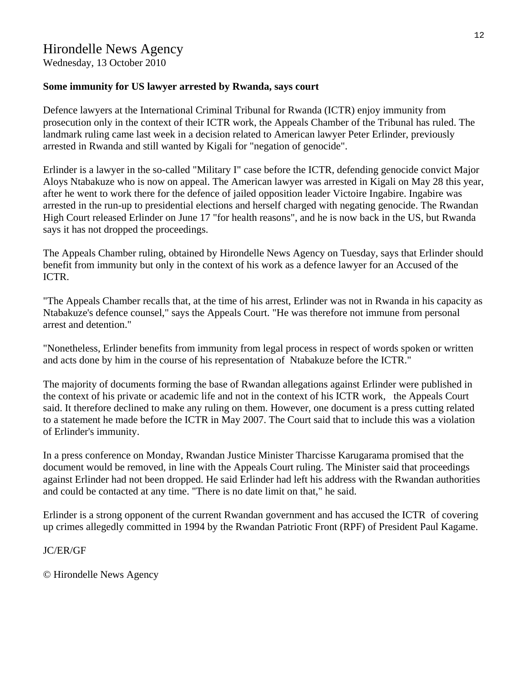Wednesday, 13 October 2010

#### **Some immunity for US lawyer arrested by Rwanda, says court**

Defence lawyers at the International Criminal Tribunal for Rwanda (ICTR) enjoy immunity from prosecution only in the context of their ICTR work, the Appeals Chamber of the Tribunal has ruled. The landmark ruling came last week in a decision related to American lawyer Peter Erlinder, previously arrested in Rwanda and still wanted by Kigali for "negation of genocide".

Erlinder is a lawyer in the so-called "Military I" case before the ICTR, defending genocide convict Major Aloys Ntabakuze who is now on appeal. The American lawyer was arrested in Kigali on May 28 this year, after he went to work there for the defence of jailed opposition leader Victoire Ingabire. Ingabire was arrested in the run-up to presidential elections and herself charged with negating genocide. The Rwandan High Court released Erlinder on June 17 "for health reasons", and he is now back in the US, but Rwanda says it has not dropped the proceedings.

The Appeals Chamber ruling, obtained by Hirondelle News Agency on Tuesday, says that Erlinder should benefit from immunity but only in the context of his work as a defence lawyer for an Accused of the ICTR.

"The Appeals Chamber recalls that, at the time of his arrest, Erlinder was not in Rwanda in his capacity as Ntabakuze's defence counsel," says the Appeals Court. "He was therefore not immune from personal arrest and detention."

"Nonetheless, Erlinder benefits from immunity from legal process in respect of words spoken or written and acts done by him in the course of his representation of Ntabakuze before the ICTR."

The majority of documents forming the base of Rwandan allegations against Erlinder were published in the context of his private or academic life and not in the context of his ICTR work, the Appeals Court said. It therefore declined to make any ruling on them. However, one document is a press cutting related to a statement he made before the ICTR in May 2007. The Court said that to include this was a violation of Erlinder's immunity.

In a press conference on Monday, Rwandan Justice Minister Tharcisse Karugarama promised that the document would be removed, in line with the Appeals Court ruling. The Minister said that proceedings against Erlinder had not been dropped. He said Erlinder had left his address with the Rwandan authorities and could be contacted at any time. "There is no date limit on that," he said.

Erlinder is a strong opponent of the current Rwandan government and has accused the ICTR of covering up crimes allegedly committed in 1994 by the Rwandan Patriotic Front (RPF) of President Paul Kagame.

#### JC/ER/GF

© Hirondelle News Agency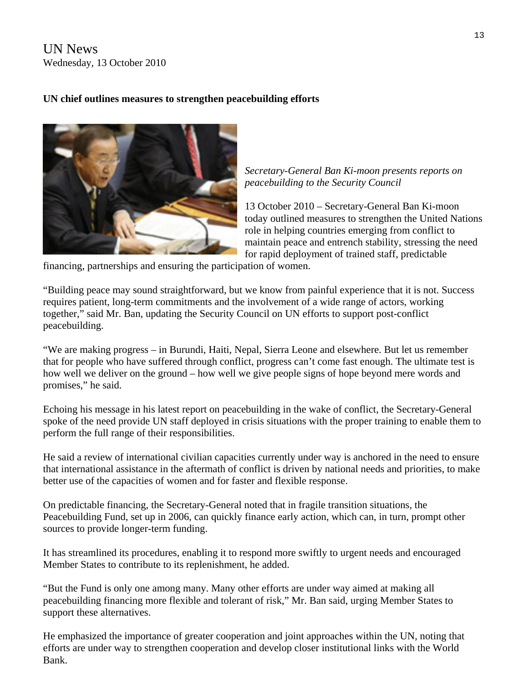UN News Wednesday, 13 October 2010

#### **UN chief outlines measures to strengthen peacebuilding efforts**



*Secretary-General Ban Ki-moon presents reports on peacebuilding to the Security Council* 

13 October 2010 – Secretary-General Ban Ki-moon today outlined measures to strengthen the United Nations role in helping countries emerging from conflict to maintain peace and entrench stability, stressing the need for rapid deployment of trained staff, predictable

financing, partnerships and ensuring the participation of women.

"Building peace may sound straightforward, but we know from painful experience that it is not. Success requires patient, long-term commitments and the involvement of a wide range of actors, working together," [said](http://www.un.org/apps/sg/sgstats.asp?nid=4851) Mr. Ban, updating the Security Council on UN efforts to support post-conflict peacebuilding.

"We are making progress – in Burundi, Haiti, Nepal, Sierra Leone and elsewhere. But let us remember that for people who have suffered through conflict, progress can't come fast enough. The ultimate test is how well we deliver on the ground – how well we give people signs of hope beyond mere words and promises," he said.

Echoing his message in his latest [report](http://www.un.org/apps/sg/sgstats.asp?nid=4851) on peacebuilding in the wake of conflict, the Secretary-General spoke of the need provide UN staff deployed in crisis situations with the proper training to enable them to perform the full range of their responsibilities.

He said a review of international civilian capacities currently under way is anchored in the need to ensure that international assistance in the aftermath of conflict is driven by national needs and priorities, to make better use of the capacities of women and for faster and flexible response.

On predictable financing, the Secretary-General noted that in fragile transition situations, the Peacebuilding Fund, set up in 2006, can quickly finance early action, which can, in turn, prompt other sources to provide longer-term funding.

It has streamlined its procedures, enabling it to respond more swiftly to urgent needs and encouraged Member States to contribute to its replenishment, he added.

"But the Fund is only one among many. Many other efforts are under way aimed at making all peacebuilding financing more flexible and tolerant of risk," Mr. Ban said, urging Member States to support these alternatives.

He emphasized the importance of greater cooperation and joint approaches within the UN, noting that efforts are under way to strengthen cooperation and develop closer institutional links with the World Bank.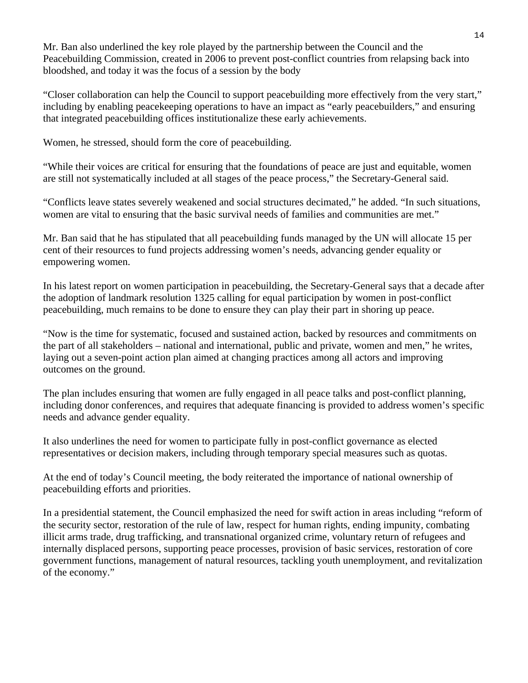Mr. Ban also underlined the key role played by the partnership between the Council and the Peacebuilding Commission, created in 2006 to prevent post-conflict countries from relapsing back into bloodshed, and today it was the focus of a session by the body

"Closer collaboration can help the Council to support peacebuilding more effectively from the very start," including by enabling peacekeeping operations to have an impact as "early peacebuilders," and ensuring that integrated peacebuilding offices institutionalize these early achievements.

Women, he stressed, should form the core of peacebuilding.

"While their voices are critical for ensuring that the foundations of peace are just and equitable, women are still not systematically included at all stages of the peace process," the Secretary-General said.

"Conflicts leave states severely weakened and social structures decimated," he added. "In such situations, women are vital to ensuring that the basic survival needs of families and communities are met."

Mr. Ban said that he has stipulated that all peacebuilding funds managed by the UN will allocate 15 per cent of their resources to fund projects addressing women's needs, advancing gender equality or empowering women.

In his latest [report](http://www.un.org/Docs/journal/asp/ws.asp?m=s/2010/466) on women participation in peacebuilding, the Secretary-General says that a decade after the adoption of landmark [resolution 1325](http://www.un.org/Docs/journal/asp/ws.asp?m=s/res/1325%282000%29) calling for equal participation by women in post-conflict peacebuilding, much remains to be done to ensure they can play their part in shoring up peace.

"Now is the time for systematic, focused and sustained action, backed by resources and commitments on the part of all stakeholders – national and international, public and private, women and men," he writes, laying out a seven-point action plan aimed at changing practices among all actors and improving outcomes on the ground.

The plan includes ensuring that women are fully engaged in all peace talks and post-conflict planning, including donor conferences, and requires that adequate financing is provided to address women's specific needs and advance gender equality.

It also underlines the need for women to participate fully in post-conflict governance as elected representatives or decision makers, including through temporary special measures such as quotas.

At the end of today's Council meeting, the body reiterated the importance of national ownership of peacebuilding efforts and priorities.

In a presidential statement, the Council emphasized the need for swift action in areas including "reform of the security sector, restoration of the rule of law, respect for human rights, ending impunity, combating illicit arms trade, drug trafficking, and transnational organized crime, voluntary return of refugees and internally displaced persons, supporting peace processes, provision of basic services, restoration of core government functions, management of natural resources, tackling youth unemployment, and revitalization of the economy."